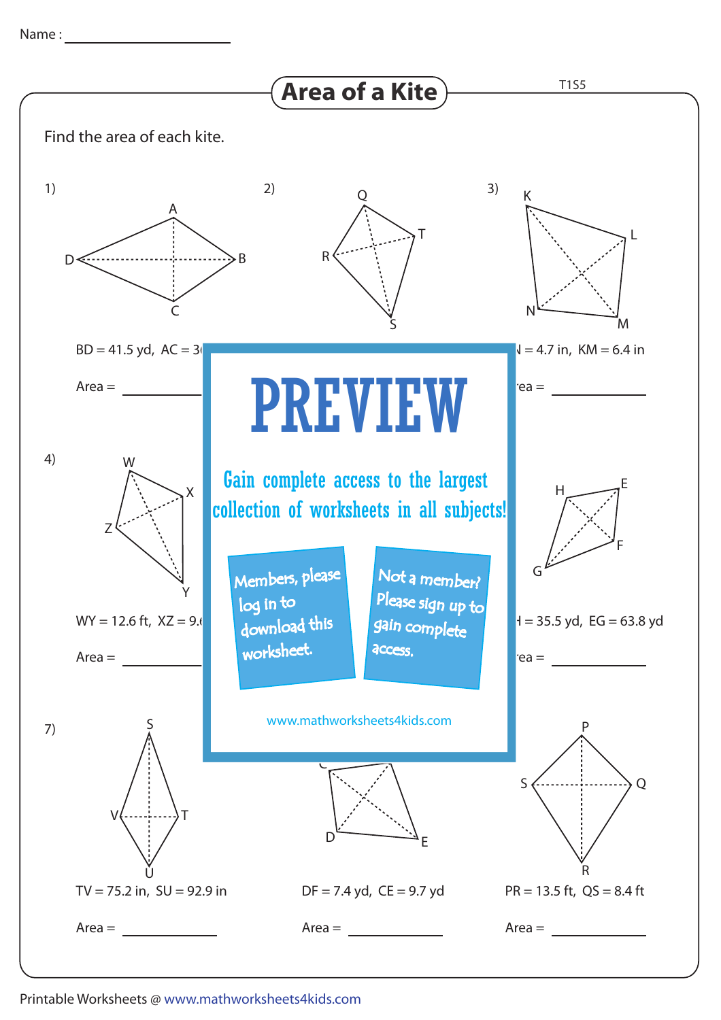